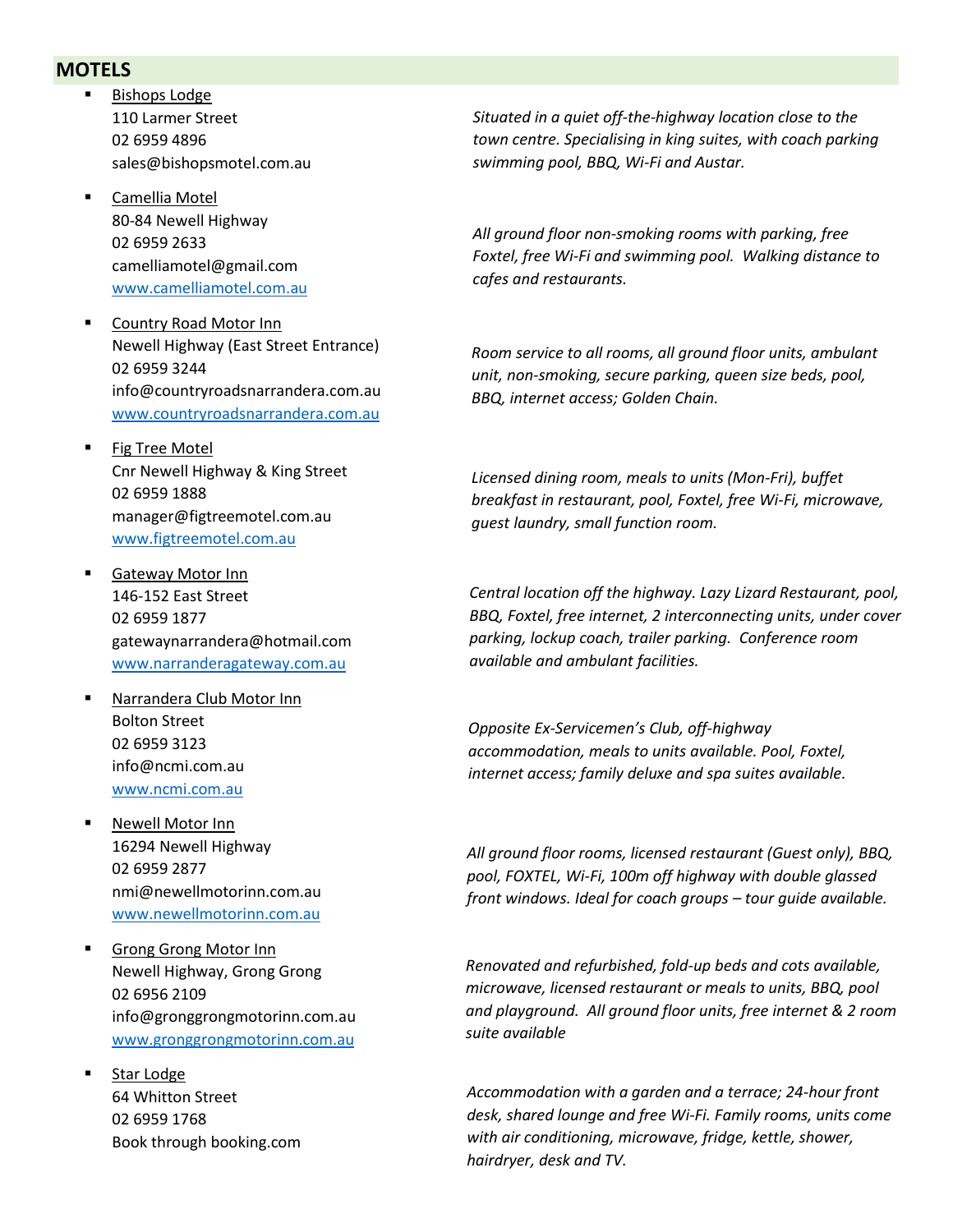## **MOTELS**

- **Bishops Lodge** 110 Larmer Street 02 6959 4896 sales@bishopsmotel.com.au
- Camellia Motel 80-84 Newell Highway 02 6959 2633 camelliamotel@gmail.com [www.camelliamotel.com.au](http://www.camelliamotel.com.au/)
- Country Road Motor Inn Newell Highway (East Street Entrance) 02 6959 3244 info@countryroadsnarrandera.com.au [www.countryroadsnarrandera.com.au](http://www.countryroadsnarrandera.com.au/)
- **Fig Tree Motel** Cnr Newell Highway & King Street 02 6959 1888 manager@figtreemotel.com.au [www.figtreemotel.com.au](http://www.figtreemotel.com.au/)
- **Gateway Motor Inn** 146-152 East Street 02 6959 1877 gatewaynarrandera@hotmail.com [www.narranderagateway.com.au](http://www.narranderagateway.com.au/)
- Narrandera Club Motor Inn Bolton Street 02 6959 3123 info@ncmi.com.au [www.ncmi.com.au](http://www.ncmi.com.au/)
- Newell Motor Inn 16294 Newell Highway 02 6959 2877 nmi@newellmotorinn.com.au [www.newellmotorinn.com.au](http://www.newellmotorinn.com.au/)
- **Grong Grong Motor Inn** Newell Highway, Grong Grong 02 6956 2109 info@gronggrongmotorinn.com.au [www.gronggrongmotorinn.com.au](http://www.gronggrongmotorinn.com.au/)
- Star Lodge 64 Whitton Street 02 6959 1768 Book through booking.com

*Situated in a quiet off-the-highway location close to the town centre. Specialising in king suites, with coach parking swimming pool, BBQ, Wi-Fi and Austar.*

*All ground floor non-smoking rooms with parking, free Foxtel, free Wi-Fi and swimming pool. Walking distance to cafes and restaurants.*

*Room service to all rooms, all ground floor units, ambulant unit, non-smoking, secure parking, queen size beds, pool, BBQ, internet access; Golden Chain.*

*Licensed dining room, meals to units (Mon-Fri), buffet breakfast in restaurant, pool, Foxtel, free Wi-Fi, microwave, guest laundry, small function room.* 

*Central location off the highway. Lazy Lizard Restaurant, pool, BBQ, Foxtel, free internet, 2 interconnecting units, under cover parking, lockup coach, trailer parking. Conference room available and ambulant facilities.*

*Opposite Ex-Servicemen's Club, off-highway accommodation, meals to units available. Pool, Foxtel, internet access; family deluxe and spa suites available.*

*All ground floor rooms, licensed restaurant (Guest only), BBQ, pool, FOXTEL, Wi-Fi, 100m off highway with double glassed front windows. Ideal for coach groups – tour guide available.* 

*Renovated and refurbished, fold-up beds and cots available, microwave, licensed restaurant or meals to units, BBQ, pool and playground. All ground floor units, free internet & 2 room suite available*

*Accommodation with a garden and a terrace; 24-hour front desk, shared lounge and free Wi-Fi. Family rooms, units come with air conditioning, microwave, fridge, kettle, shower, hairdryer, desk and TV.*